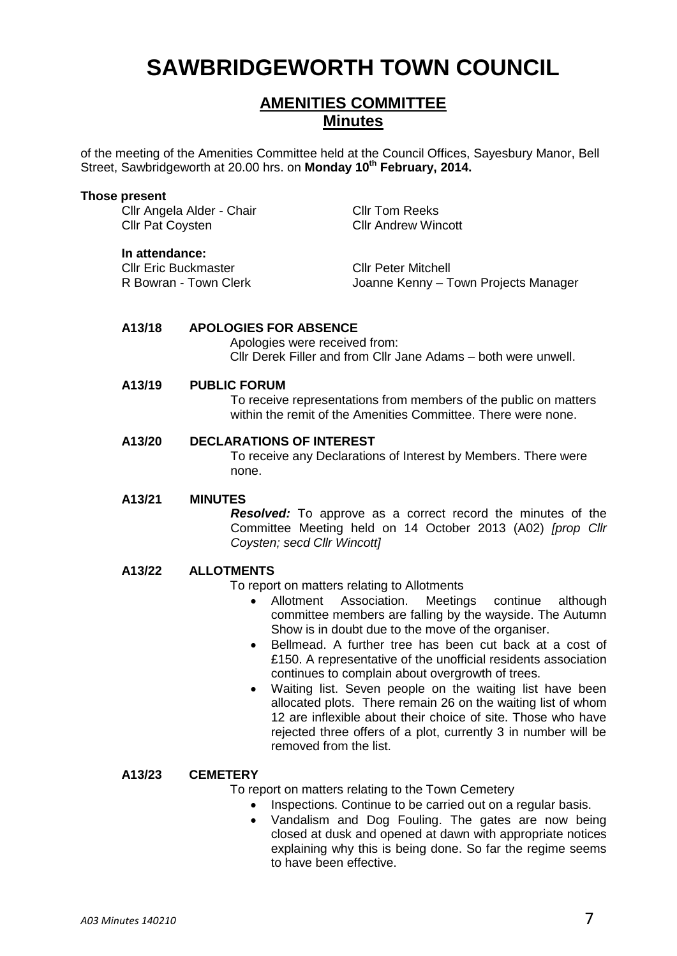# **SAWBRIDGEWORTH TOWN COUNCIL**

# **AMENITIES COMMITTEE Minutes**

of the meeting of the Amenities Committee held at the Council Offices, Sayesbury Manor, Bell Street, Sawbridgeworth at 20.00 hrs. on **Monday 10th February, 2014.**

#### **Those present**

Cllr Angela Alder - Chair Cllr Tom Reeks **Cllr Pat Coysten Cllr Andrew Wincott** 

**In attendance:**

Cllr Eric Buckmaster<br>
R Bowran - Town Clerk<br>
Clerk Clerk<br>
Cloanne Kenny – T

Joanne Kenny – Town Projects Manager

#### **A13/18 APOLOGIES FOR ABSENCE**

Apologies were received from: Cllr Derek Filler and from Cllr Jane Adams – both were unwell.

#### **A13/19 PUBLIC FORUM**

To receive representations from members of the public on matters within the remit of the Amenities Committee. There were none.

# **A13/20 DECLARATIONS OF INTEREST**

To receive any Declarations of Interest by Members. There were none.

#### **A13/21 MINUTES**

*Resolved:* To approve as a correct record the minutes of the Committee Meeting held on 14 October 2013 (A02) *[prop Cllr Coysten; secd Cllr Wincott]*

#### **A13/22 ALLOTMENTS**

To report on matters relating to Allotments

- Allotment Association. Meetings continue although committee members are falling by the wayside. The Autumn Show is in doubt due to the move of the organiser.
- Bellmead. A further tree has been cut back at a cost of £150. A representative of the unofficial residents association continues to complain about overgrowth of trees.
- Waiting list. Seven people on the waiting list have been allocated plots. There remain 26 on the waiting list of whom 12 are inflexible about their choice of site. Those who have rejected three offers of a plot, currently 3 in number will be removed from the list.

#### **A13/23 CEMETERY**

To report on matters relating to the Town Cemetery

- Inspections. Continue to be carried out on a regular basis.
- Vandalism and Dog Fouling. The gates are now being closed at dusk and opened at dawn with appropriate notices explaining why this is being done. So far the regime seems to have been effective.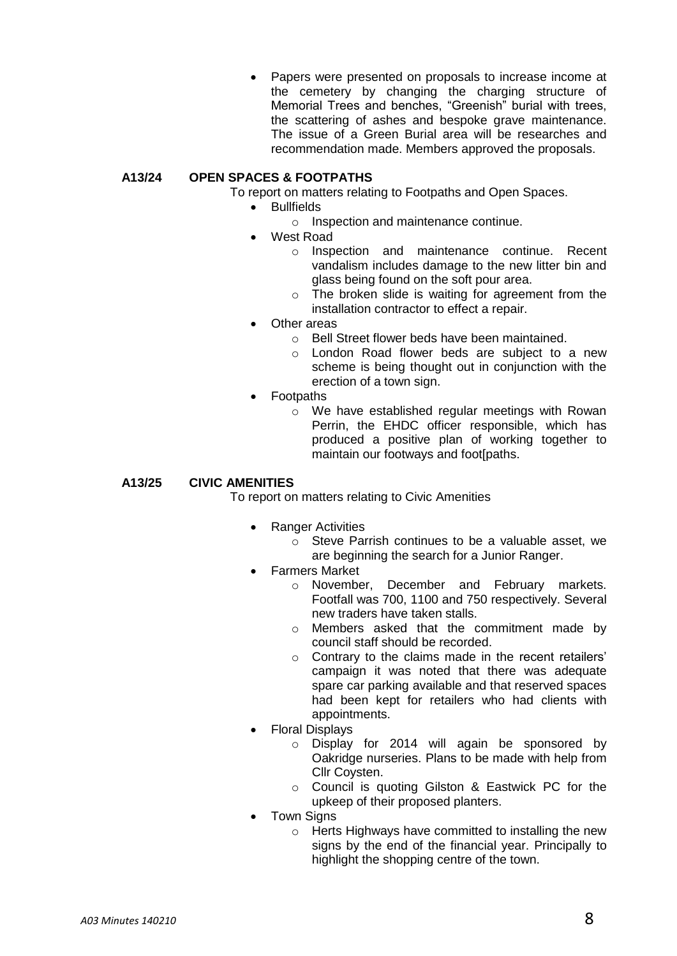Papers were presented on proposals to increase income at the cemetery by changing the charging structure of Memorial Trees and benches, "Greenish" burial with trees, the scattering of ashes and bespoke grave maintenance. The issue of a Green Burial area will be researches and recommendation made. Members approved the proposals.

# **A13/24 OPEN SPACES & FOOTPATHS**

- To report on matters relating to Footpaths and Open Spaces.
	- **•** Bullfields
		- o Inspection and maintenance continue.
		- West Road
			- o Inspection and maintenance continue. Recent vandalism includes damage to the new litter bin and glass being found on the soft pour area.
			- o The broken slide is waiting for agreement from the installation contractor to effect a repair.
	- Other areas
		- o Bell Street flower beds have been maintained.
		- o London Road flower beds are subject to a new scheme is being thought out in conjunction with the erection of a town sign.
	- Footpaths
		- o We have established regular meetings with Rowan Perrin, the EHDC officer responsible, which has produced a positive plan of working together to maintain our footways and foot[paths.

### **A13/25 CIVIC AMENITIES**

To report on matters relating to Civic Amenities

- Ranger Activities
	- o Steve Parrish continues to be a valuable asset, we are beginning the search for a Junior Ranger.
- Farmers Market
	- o November, December and February markets. Footfall was 700, 1100 and 750 respectively. Several new traders have taken stalls.
	- o Members asked that the commitment made by council staff should be recorded.
	- o Contrary to the claims made in the recent retailers' campaign it was noted that there was adequate spare car parking available and that reserved spaces had been kept for retailers who had clients with appointments.
- Floral Displays
	- o Display for 2014 will again be sponsored by Oakridge nurseries. Plans to be made with help from Cllr Coysten.
	- o Council is quoting Gilston & Eastwick PC for the upkeep of their proposed planters.
- **Town Signs** 
	- o Herts Highways have committed to installing the new signs by the end of the financial year. Principally to highlight the shopping centre of the town.